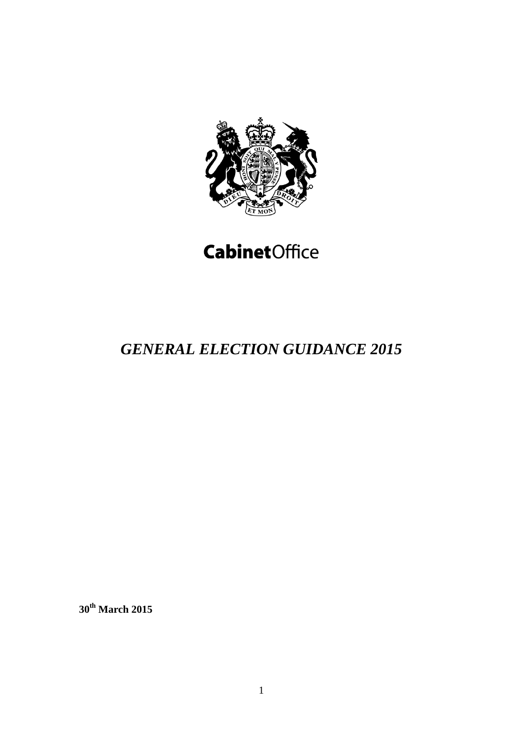

# **CabinetOffice**

## *GENERAL ELECTION GUIDANCE 2015*

**30th March 2015**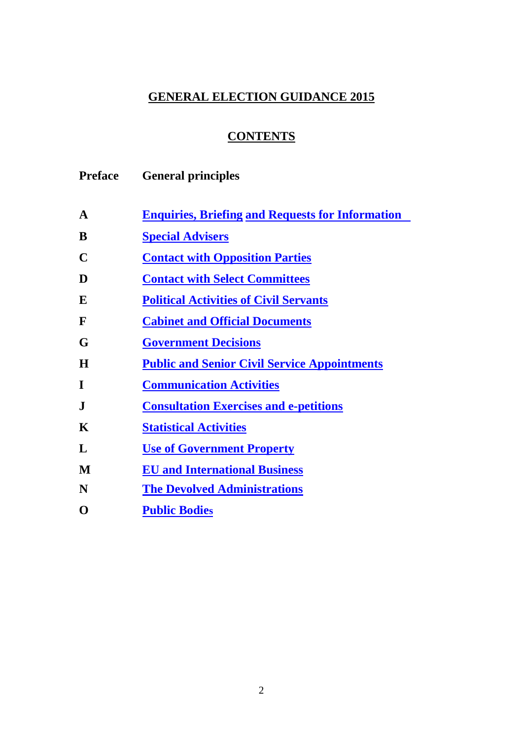### **GENERAL ELECTION GUIDANCE 2015**

## **CONTENTS**

| <b>Preface</b> | <b>General principles</b>                               |
|----------------|---------------------------------------------------------|
| A              | <b>Enquiries, Briefing and Requests for Information</b> |
| B              | <b>Special Advisers</b>                                 |
| C              | <b>Contact with Opposition Parties</b>                  |
| D              | <b>Contact with Select Committees</b>                   |
| E              | <b>Political Activities of Civil Servants</b>           |
| $\mathbf{F}$   | <b>Cabinet and Official Documents</b>                   |
| G              | <b>Government Decisions</b>                             |
| H              | <b>Public and Senior Civil Service Appointments</b>     |
| I              | <b>Communication Activities</b>                         |
| $\mathbf{J}$   | <b>Consultation Exercises and e-petitions</b>           |
| K              | <b>Statistical Activities</b>                           |
| L              | <b>Use of Government Property</b>                       |
| M              | <b>EU</b> and International Business                    |
| N              | <b>The Devolved Administrations</b>                     |
| O              | <b>Public Bodies</b>                                    |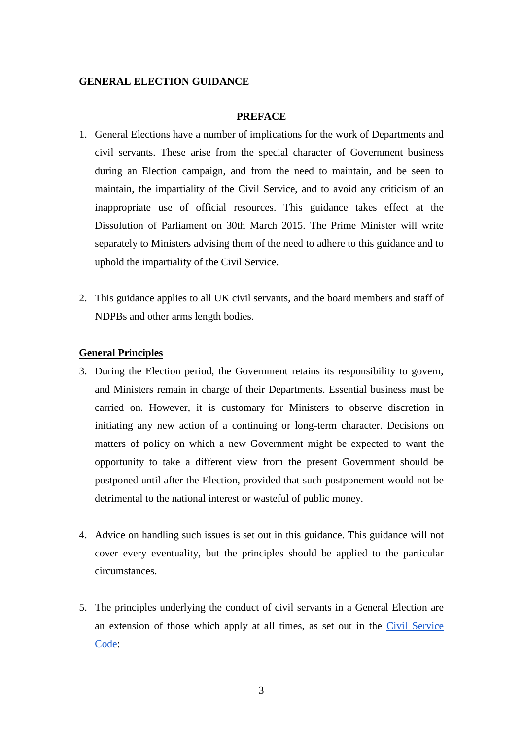#### <span id="page-2-0"></span>**GENERAL ELECTION GUIDANCE**

#### **PREFACE**

- 1. General Elections have a number of implications for the work of Departments and civil servants. These arise from the special character of Government business during an Election campaign, and from the need to maintain, and be seen to maintain, the impartiality of the Civil Service, and to avoid any criticism of an inappropriate use of official resources. This guidance takes effect at the Dissolution of Parliament on 30th March 2015. The Prime Minister will write separately to Ministers advising them of the need to adhere to this guidance and to uphold the impartiality of the Civil Service.
- 2. This guidance applies to all UK civil servants, and the board members and staff of NDPBs and other arms length bodies.

#### **General Principles**

- 3. During the Election period, the Government retains its responsibility to govern, and Ministers remain in charge of their Departments. Essential business must be carried on. However, it is customary for Ministers to observe discretion in initiating any new action of a continuing or long-term character. Decisions on matters of policy on which a new Government might be expected to want the opportunity to take a different view from the present Government should be postponed until after the Election, provided that such postponement would not be detrimental to the national interest or wasteful of public money.
- 4. Advice on handling such issues is set out in this guidance. This guidance will not cover every eventuality, but the principles should be applied to the particular circumstances.
- 5. The principles underlying the conduct of civil servants in a General Election are an extension of those which apply at all times, as set out in the [Civil Service](http://www.civilservice.gov.uk/wp-content/uploads/2011/09/civil-service-code-2010.pdf)  [Code:](http://www.civilservice.gov.uk/wp-content/uploads/2011/09/civil-service-code-2010.pdf)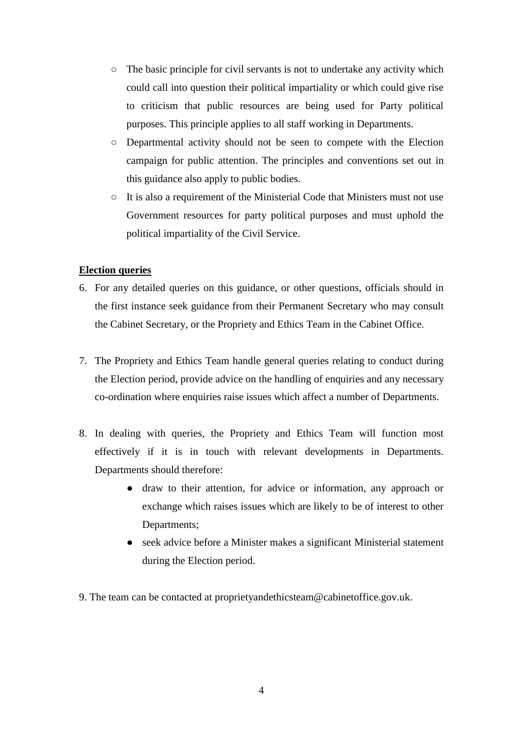- The basic principle for civil servants is not to undertake any activity which could call into question their political impartiality or which could give rise to criticism that public resources are being used for Party political purposes. This principle applies to all staff working in Departments.
- Departmental activity should not be seen to compete with the Election campaign for public attention. The principles and conventions set out in this guidance also apply to public bodies.
- It is also a requirement of the Ministerial Code that Ministers must not use Government resources for party political purposes and must uphold the political impartiality of the Civil Service.

#### **Election queries**

- 6. For any detailed queries on this guidance, or other questions, officials should in the first instance seek guidance from their Permanent Secretary who may consult the Cabinet Secretary, or the Propriety and Ethics Team in the Cabinet Office.
- 7. The Propriety and Ethics Team handle general queries relating to conduct during the Election period, provide advice on the handling of enquiries and any necessary co-ordination where enquiries raise issues which affect a number of Departments.
- 8. In dealing with queries, the Propriety and Ethics Team will function most effectively if it is in touch with relevant developments in Departments. Departments should therefore:
	- draw to their attention, for advice or information, any approach or exchange which raises issues which are likely to be of interest to other Departments;
	- seek advice before a Minister makes a significant Ministerial statement during the Election period.
- <span id="page-3-0"></span>9. The team can be contacted at proprietyandethicsteam@cabinetoffice.gov.uk.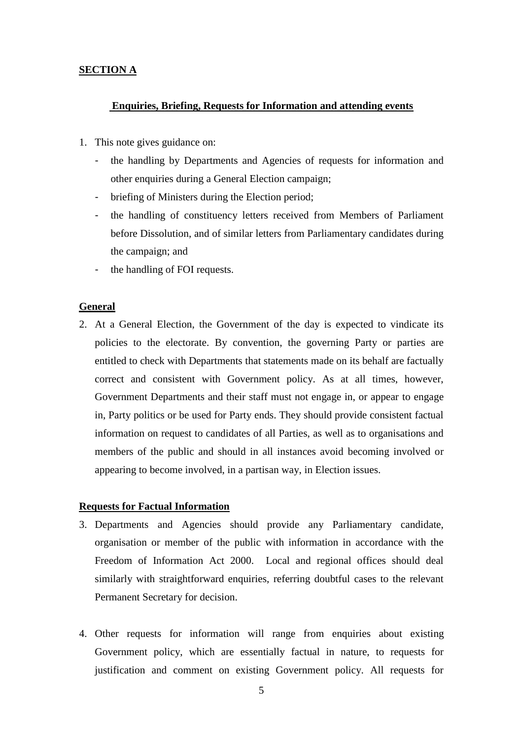#### **SECTION A**

#### **Enquiries, Briefing, Requests for Information and attending events**

- 1. This note gives guidance on:
	- the handling by Departments and Agencies of requests for information and other enquiries during a General Election campaign;
	- briefing of Ministers during the Election period;
	- the handling of constituency letters received from Members of Parliament before Dissolution, and of similar letters from Parliamentary candidates during the campaign; and
	- the handling of FOI requests.

#### **General**

2. At a General Election, the Government of the day is expected to vindicate its policies to the electorate. By convention, the governing Party or parties are entitled to check with Departments that statements made on its behalf are factually correct and consistent with Government policy. As at all times, however, Government Departments and their staff must not engage in, or appear to engage in, Party politics or be used for Party ends. They should provide consistent factual information on request to candidates of all Parties, as well as to organisations and members of the public and should in all instances avoid becoming involved or appearing to become involved, in a partisan way, in Election issues.

#### **Requests for Factual Information**

- 3. Departments and Agencies should provide any Parliamentary candidate, organisation or member of the public with information in accordance with the Freedom of Information Act 2000. Local and regional offices should deal similarly with straightforward enquiries, referring doubtful cases to the relevant Permanent Secretary for decision.
- 4. Other requests for information will range from enquiries about existing Government policy, which are essentially factual in nature, to requests for justification and comment on existing Government policy. All requests for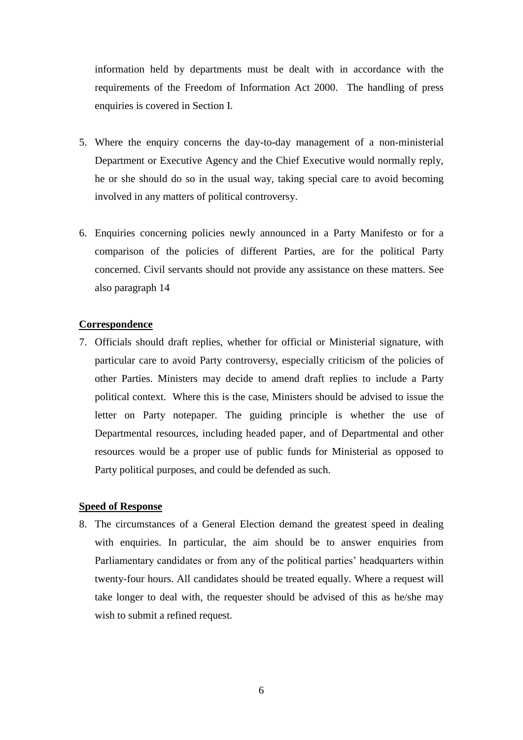information held by departments must be dealt with in accordance with the requirements of the Freedom of Information Act 2000. The handling of press enquiries is covered in Section I.

- 5. Where the enquiry concerns the day-to-day management of a non-ministerial Department or Executive Agency and the Chief Executive would normally reply, he or she should do so in the usual way, taking special care to avoid becoming involved in any matters of political controversy.
- 6. Enquiries concerning policies newly announced in a Party Manifesto or for a comparison of the policies of different Parties, are for the political Party concerned. Civil servants should not provide any assistance on these matters. See also paragraph 14

#### **Correspondence**

7. Officials should draft replies, whether for official or Ministerial signature, with particular care to avoid Party controversy, especially criticism of the policies of other Parties. Ministers may decide to amend draft replies to include a Party political context. Where this is the case, Ministers should be advised to issue the letter on Party notepaper. The guiding principle is whether the use of Departmental resources, including headed paper, and of Departmental and other resources would be a proper use of public funds for Ministerial as opposed to Party political purposes, and could be defended as such.

#### **Speed of Response**

8. The circumstances of a General Election demand the greatest speed in dealing with enquiries. In particular, the aim should be to answer enquiries from Parliamentary candidates or from any of the political parties' headquarters within twenty-four hours. All candidates should be treated equally. Where a request will take longer to deal with, the requester should be advised of this as he/she may wish to submit a refined request.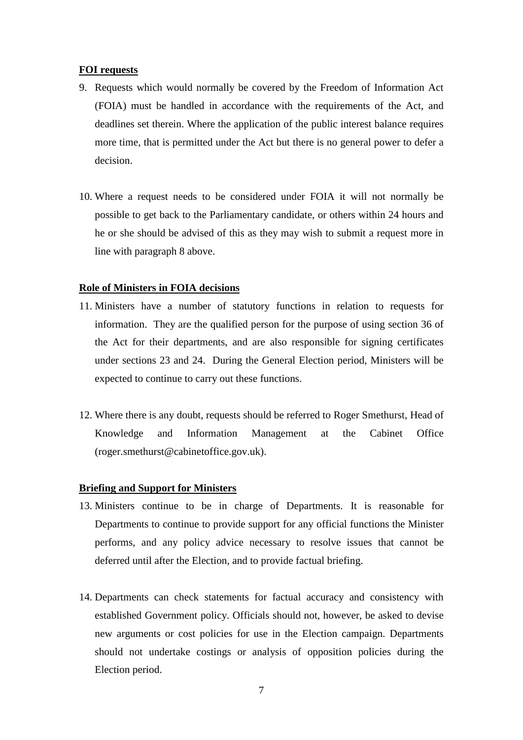#### **FOI requests**

- 9. Requests which would normally be covered by the Freedom of Information Act (FOIA) must be handled in accordance with the requirements of the Act, and deadlines set therein. Where the application of the public interest balance requires more time, that is permitted under the Act but there is no general power to defer a decision.
- 10. Where a request needs to be considered under FOIA it will not normally be possible to get back to the Parliamentary candidate, or others within 24 hours and he or she should be advised of this as they may wish to submit a request more in line with paragraph 8 above.

#### **Role of Ministers in FOIA decisions**

- 11. Ministers have a number of statutory functions in relation to requests for information. They are the qualified person for the purpose of using section 36 of the Act for their departments, and are also responsible for signing certificates under sections 23 and 24. During the General Election period, Ministers will be expected to continue to carry out these functions.
- 12. Where there is any doubt, requests should be referred to Roger Smethurst, Head of Knowledge and Information Management at the Cabinet Office (roger.smethurst@cabinetoffice.gov.uk).

#### **Briefing and Support for Ministers**

- 13. Ministers continue to be in charge of Departments. It is reasonable for Departments to continue to provide support for any official functions the Minister performs, and any policy advice necessary to resolve issues that cannot be deferred until after the Election, and to provide factual briefing.
- 14. Departments can check statements for factual accuracy and consistency with established Government policy. Officials should not, however, be asked to devise new arguments or cost policies for use in the Election campaign. Departments should not undertake costings or analysis of opposition policies during the Election period.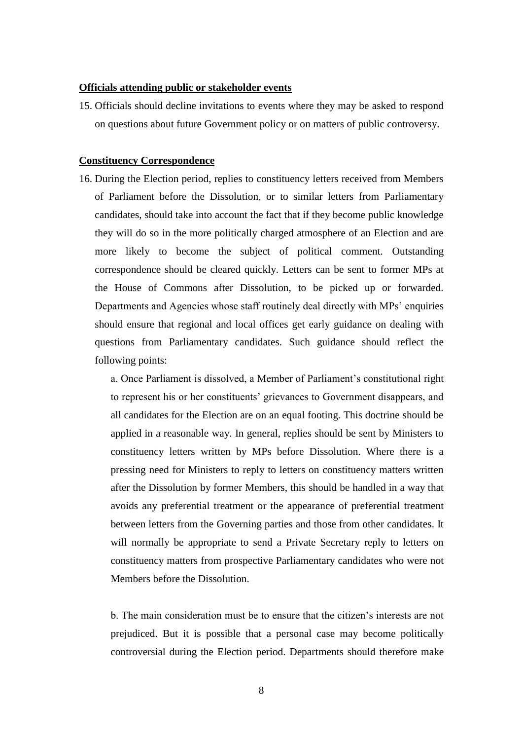#### **Officials attending public or stakeholder events**

15. Officials should decline invitations to events where they may be asked to respond on questions about future Government policy or on matters of public controversy.

#### **Constituency Correspondence**

16. During the Election period, replies to constituency letters received from Members of Parliament before the Dissolution, or to similar letters from Parliamentary candidates, should take into account the fact that if they become public knowledge they will do so in the more politically charged atmosphere of an Election and are more likely to become the subject of political comment. Outstanding correspondence should be cleared quickly. Letters can be sent to former MPs at the House of Commons after Dissolution, to be picked up or forwarded. Departments and Agencies whose staff routinely deal directly with MPs' enquiries should ensure that regional and local offices get early guidance on dealing with questions from Parliamentary candidates. Such guidance should reflect the following points:

a. Once Parliament is dissolved, a Member of Parliament's constitutional right to represent his or her constituents' grievances to Government disappears, and all candidates for the Election are on an equal footing. This doctrine should be applied in a reasonable way. In general, replies should be sent by Ministers to constituency letters written by MPs before Dissolution. Where there is a pressing need for Ministers to reply to letters on constituency matters written after the Dissolution by former Members, this should be handled in a way that avoids any preferential treatment or the appearance of preferential treatment between letters from the Governing parties and those from other candidates. It will normally be appropriate to send a Private Secretary reply to letters on constituency matters from prospective Parliamentary candidates who were not Members before the Dissolution.

b. The main consideration must be to ensure that the citizen's interests are not prejudiced. But it is possible that a personal case may become politically controversial during the Election period. Departments should therefore make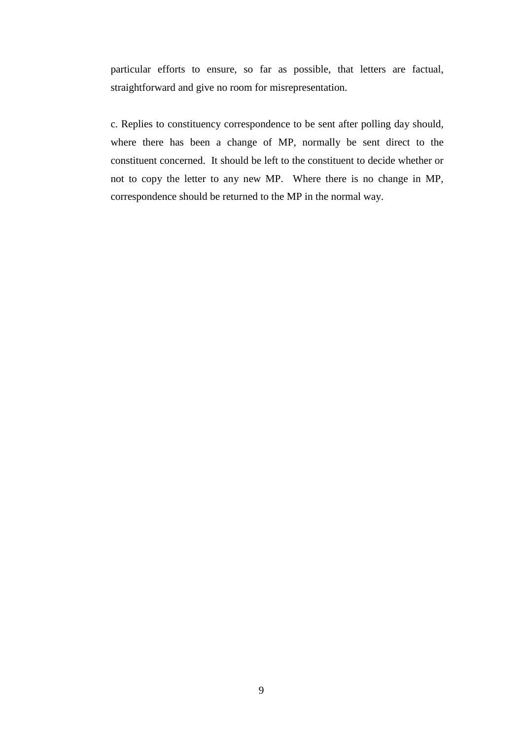particular efforts to ensure, so far as possible, that letters are factual, straightforward and give no room for misrepresentation.

c. Replies to constituency correspondence to be sent after polling day should, where there has been a change of MP, normally be sent direct to the constituent concerned. It should be left to the constituent to decide whether or not to copy the letter to any new MP. Where there is no change in MP, correspondence should be returned to the MP in the normal way.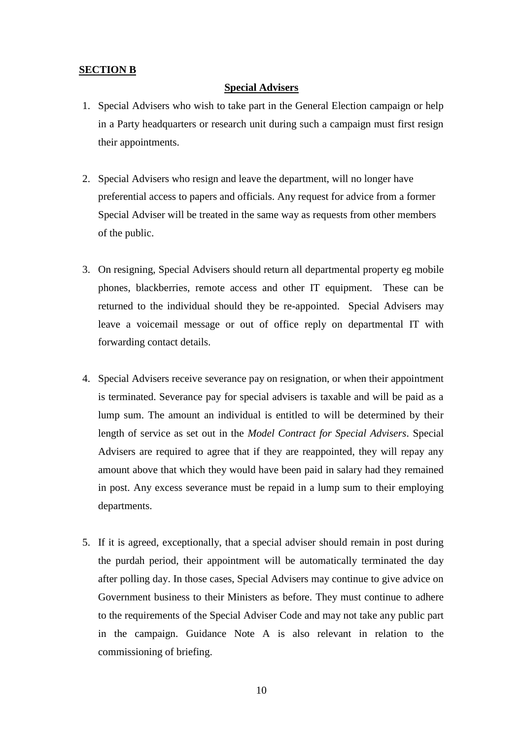#### <span id="page-9-0"></span>**SECTION B**

#### **Special Advisers**

- 1. Special Advisers who wish to take part in the General Election campaign or help in a Party headquarters or research unit during such a campaign must first resign their appointments.
- 2. Special Advisers who resign and leave the department, will no longer have preferential access to papers and officials. Any request for advice from a former Special Adviser will be treated in the same way as requests from other members of the public.
- 3. On resigning, Special Advisers should return all departmental property eg mobile phones, blackberries, remote access and other IT equipment. These can be returned to the individual should they be re-appointed. Special Advisers may leave a voicemail message or out of office reply on departmental IT with forwarding contact details.
- 4. Special Advisers receive severance pay on resignation, or when their appointment is terminated. Severance pay for special advisers is taxable and will be paid as a lump sum. The amount an individual is entitled to will be determined by their length of service as set out in the *Model Contract for Special Advisers*. Special Advisers are required to agree that if they are reappointed, they will repay any amount above that which they would have been paid in salary had they remained in post. Any excess severance must be repaid in a lump sum to their employing departments.
- 5. If it is agreed, exceptionally, that a special adviser should remain in post during the purdah period, their appointment will be automatically terminated the day after polling day. In those cases, Special Advisers may continue to give advice on Government business to their Ministers as before. They must continue to adhere to the requirements of the Special Adviser Code and may not take any public part in the campaign. Guidance Note A is also relevant in relation to the commissioning of briefing.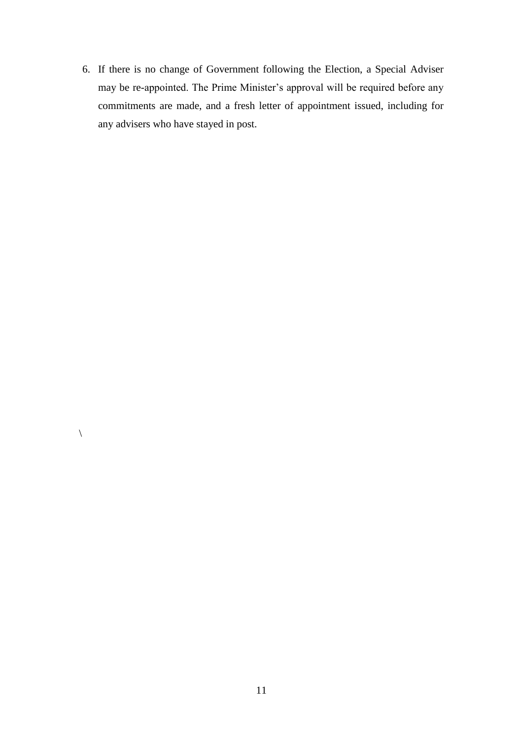6. If there is no change of Government following the Election, a Special Adviser may be re-appointed. The Prime Minister's approval will be required before any commitments are made, and a fresh letter of appointment issued, including for any advisers who have stayed in post.

 $\backslash$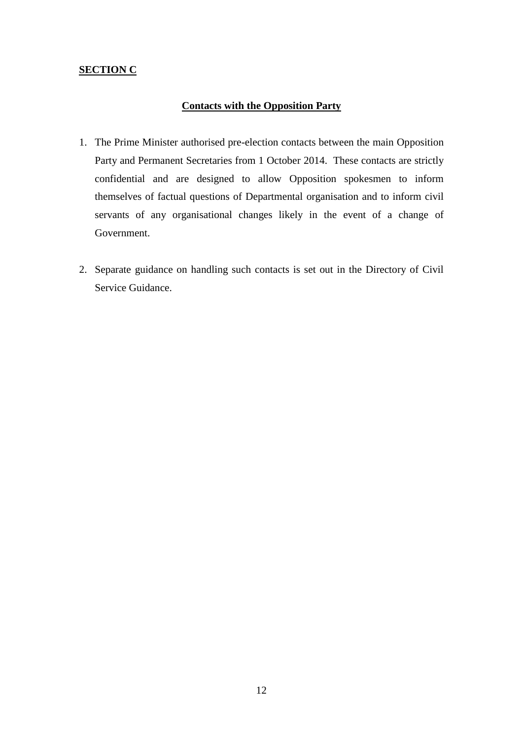#### <span id="page-11-0"></span>**SECTION C**

#### **Contacts with the Opposition Party**

- 1. The Prime Minister authorised pre-election contacts between the main Opposition Party and Permanent Secretaries from 1 October 2014. These contacts are strictly confidential and are designed to allow Opposition spokesmen to inform themselves of factual questions of Departmental organisation and to inform civil servants of any organisational changes likely in the event of a change of Government.
- 2. Separate guidance on handling such contacts is set out in the Directory of Civil Service Guidance.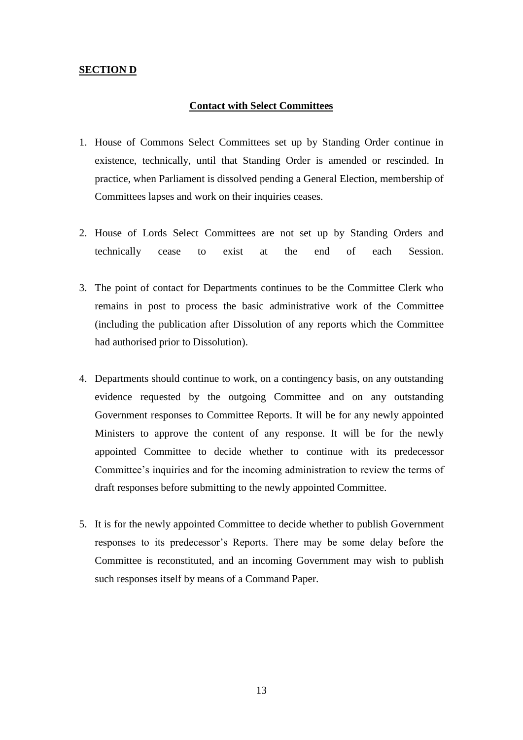#### <span id="page-12-0"></span>**SECTION D**

#### **Contact with Select Committees**

- 1. House of Commons Select Committees set up by Standing Order continue in existence, technically, until that Standing Order is amended or rescinded. In practice, when Parliament is dissolved pending a General Election, membership of Committees lapses and work on their inquiries ceases.
- 2. House of Lords Select Committees are not set up by Standing Orders and technically cease to exist at the end of each Session.
- 3. The point of contact for Departments continues to be the Committee Clerk who remains in post to process the basic administrative work of the Committee (including the publication after Dissolution of any reports which the Committee had authorised prior to Dissolution).
- 4. Departments should continue to work, on a contingency basis, on any outstanding evidence requested by the outgoing Committee and on any outstanding Government responses to Committee Reports. It will be for any newly appointed Ministers to approve the content of any response. It will be for the newly appointed Committee to decide whether to continue with its predecessor Committee's inquiries and for the incoming administration to review the terms of draft responses before submitting to the newly appointed Committee.
- <span id="page-12-1"></span>5. It is for the newly appointed Committee to decide whether to publish Government responses to its predecessor's Reports. There may be some delay before the Committee is reconstituted, and an incoming Government may wish to publish such responses itself by means of a Command Paper.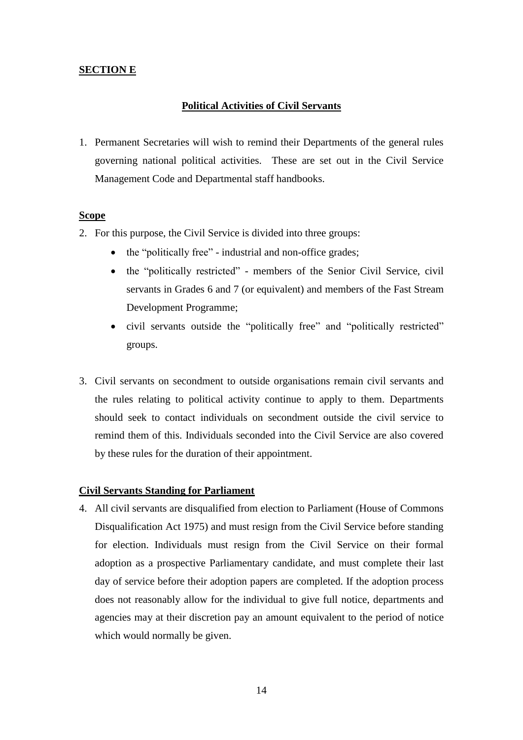#### **SECTION E**

#### **Political Activities of Civil Servants**

1. Permanent Secretaries will wish to remind their Departments of the general rules governing national political activities. These are set out in the Civil Service Management Code and Departmental staff handbooks.

#### **Scope**

- 2. For this purpose, the Civil Service is divided into three groups:
	- the "politically free" industrial and non-office grades;
	- the "politically restricted" members of the Senior Civil Service, civil servants in Grades 6 and 7 (or equivalent) and members of the Fast Stream Development Programme;
	- civil servants outside the "politically free" and "politically restricted" groups.
- 3. Civil servants on secondment to outside organisations remain civil servants and the rules relating to political activity continue to apply to them. Departments should seek to contact individuals on secondment outside the civil service to remind them of this. Individuals seconded into the Civil Service are also covered by these rules for the duration of their appointment.

#### **Civil Servants Standing for Parliament**

4. All civil servants are disqualified from election to Parliament (House of Commons Disqualification Act 1975) and must resign from the Civil Service before standing for election. Individuals must resign from the Civil Service on their formal adoption as a prospective Parliamentary candidate, and must complete their last day of service before their adoption papers are completed. If the adoption process does not reasonably allow for the individual to give full notice, departments and agencies may at their discretion pay an amount equivalent to the period of notice which would normally be given.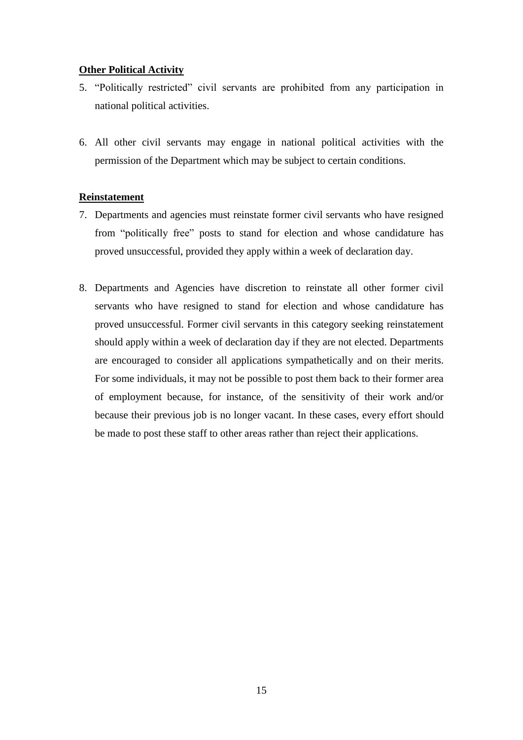#### **Other Political Activity**

- 5. "Politically restricted" civil servants are prohibited from any participation in national political activities.
- 6. All other civil servants may engage in national political activities with the permission of the Department which may be subject to certain conditions.

#### **Reinstatement**

- 7. Departments and agencies must reinstate former civil servants who have resigned from "politically free" posts to stand for election and whose candidature has proved unsuccessful, provided they apply within a week of declaration day.
- 8. Departments and Agencies have discretion to reinstate all other former civil servants who have resigned to stand for election and whose candidature has proved unsuccessful. Former civil servants in this category seeking reinstatement should apply within a week of declaration day if they are not elected. Departments are encouraged to consider all applications sympathetically and on their merits. For some individuals, it may not be possible to post them back to their former area of employment because, for instance, of the sensitivity of their work and/or because their previous job is no longer vacant. In these cases, every effort should be made to post these staff to other areas rather than reject their applications.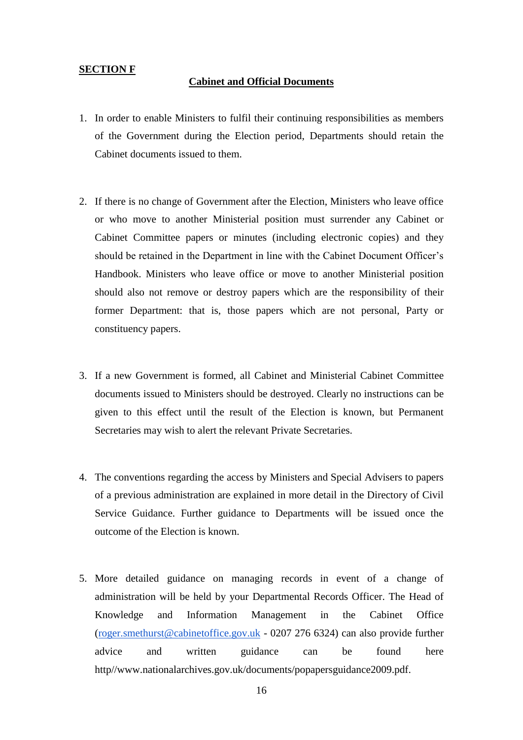#### <span id="page-15-0"></span>**SECTION F**

#### **Cabinet and Official Documents**

- 1. In order to enable Ministers to fulfil their continuing responsibilities as members of the Government during the Election period, Departments should retain the Cabinet documents issued to them.
- 2. If there is no change of Government after the Election, Ministers who leave office or who move to another Ministerial position must surrender any Cabinet or Cabinet Committee papers or minutes (including electronic copies) and they should be retained in the Department in line with the Cabinet Document Officer's Handbook. Ministers who leave office or move to another Ministerial position should also not remove or destroy papers which are the responsibility of their former Department: that is, those papers which are not personal, Party or constituency papers.
- 3. If a new Government is formed, all Cabinet and Ministerial Cabinet Committee documents issued to Ministers should be destroyed. Clearly no instructions can be given to this effect until the result of the Election is known, but Permanent Secretaries may wish to alert the relevant Private Secretaries.
- 4. The conventions regarding the access by Ministers and Special Advisers to papers of a previous administration are explained in more detail in the Directory of Civil Service Guidance. Further guidance to Departments will be issued once the outcome of the Election is known.
- 5. More detailed guidance on managing records in event of a change of administration will be held by your Departmental Records Officer. The Head of Knowledge and Information Management in the Cabinet Office [\(roger.smethurst@cabinetoffice.gov.uk](mailto:roger.smethurst@cabinetoffice.gov.uk) - 0207 276 6324) can also provide further advice and written guidance can be found here http//www.nationalarchives.gov.uk/documents/popapersguidance2009.pdf.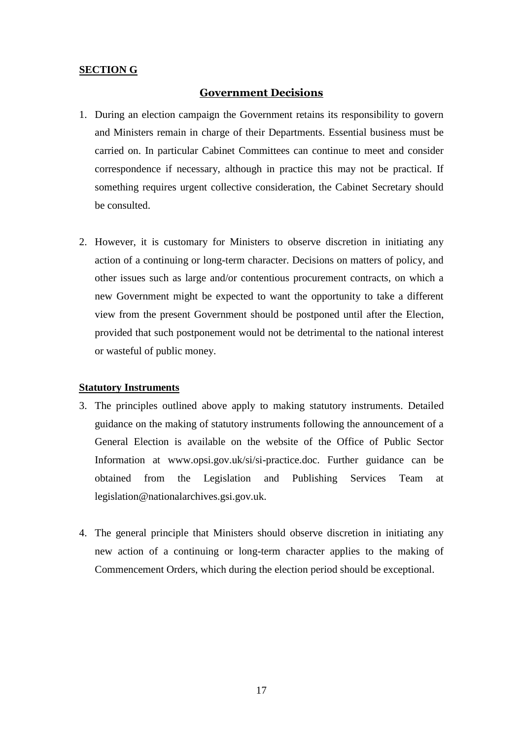#### **SECTION G**

#### **Government Decisions**

- 1. During an election campaign the Government retains its responsibility to govern and Ministers remain in charge of their Departments. Essential business must be carried on. In particular Cabinet Committees can continue to meet and consider correspondence if necessary, although in practice this may not be practical. If something requires urgent collective consideration, the Cabinet Secretary should be consulted.
- 2. However, it is customary for Ministers to observe discretion in initiating any action of a continuing or long-term character. Decisions on matters of policy, and other issues such as large and/or contentious procurement contracts, on which a new Government might be expected to want the opportunity to take a different view from the present Government should be postponed until after the Election, provided that such postponement would not be detrimental to the national interest or wasteful of public money.

#### **Statutory Instruments**

- 3. The principles outlined above apply to making statutory instruments. Detailed guidance on the making of statutory instruments following the announcement of a General Election is available on the website of the Office of Public Sector Information at www.opsi.gov.uk/si/si-practice.doc. Further guidance can be obtained from the Legislation and Publishing Services Team at legislation@nationalarchives.gsi.gov.uk.
- 4. The general principle that Ministers should observe discretion in initiating any new action of a continuing or long-term character applies to the making of Commencement Orders, which during the election period should be exceptional.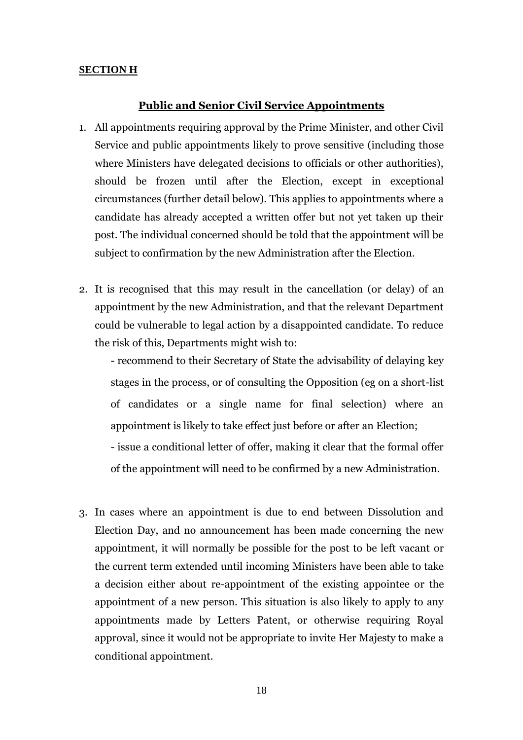#### **SECTION H**

#### **Public and Senior Civil Service Appointments**

- 1. All appointments requiring approval by the Prime Minister, and other Civil Service and public appointments likely to prove sensitive (including those where Ministers have delegated decisions to officials or other authorities), should be frozen until after the Election, except in exceptional circumstances (further detail below). This applies to appointments where a candidate has already accepted a written offer but not yet taken up their post. The individual concerned should be told that the appointment will be subject to confirmation by the new Administration after the Election.
- 2. It is recognised that this may result in the cancellation (or delay) of an appointment by the new Administration, and that the relevant Department could be vulnerable to legal action by a disappointed candidate. To reduce the risk of this, Departments might wish to:

- recommend to their Secretary of State the advisability of delaying key stages in the process, or of consulting the Opposition (eg on a short-list of candidates or a single name for final selection) where an appointment is likely to take effect just before or after an Election;

- issue a conditional letter of offer, making it clear that the formal offer of the appointment will need to be confirmed by a new Administration.

3. In cases where an appointment is due to end between Dissolution and Election Day, and no announcement has been made concerning the new appointment, it will normally be possible for the post to be left vacant or the current term extended until incoming Ministers have been able to take a decision either about re-appointment of the existing appointee or the appointment of a new person. This situation is also likely to apply to any appointments made by Letters Patent, or otherwise requiring Royal approval, since it would not be appropriate to invite Her Majesty to make a conditional appointment.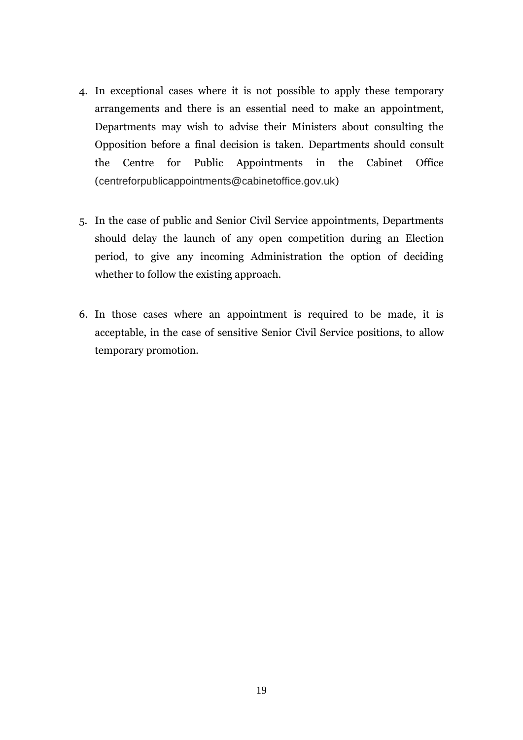- 4. In exceptional cases where it is not possible to apply these temporary arrangements and there is an essential need to make an appointment, Departments may wish to advise their Ministers about consulting the Opposition before a final decision is taken. Departments should consult the Centre for Public Appointments in the Cabinet Office (centreforpublicappointments@cabinetoffice.gov.uk)
- 5. In the case of public and Senior Civil Service appointments, Departments should delay the launch of any open competition during an Election period, to give any incoming Administration the option of deciding whether to follow the existing approach.
- 6. In those cases where an appointment is required to be made, it is acceptable, in the case of sensitive Senior Civil Service positions, to allow temporary promotion.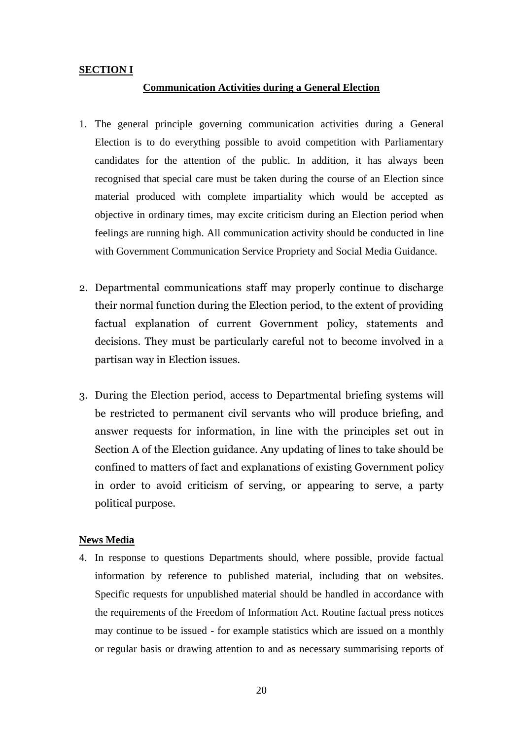#### **SECTION I**

#### **Communication Activities during a General Election**

- 1. The general principle governing communication activities during a General Election is to do everything possible to avoid competition with Parliamentary candidates for the attention of the public. In addition, it has always been recognised that special care must be taken during the course of an Election since material produced with complete impartiality which would be accepted as objective in ordinary times, may excite criticism during an Election period when feelings are running high. All communication activity should be conducted in line with Government Communication Service Propriety and Social Media Guidance.
- 2. Departmental communications staff may properly continue to discharge their normal function during the Election period, to the extent of providing factual explanation of current Government policy, statements and decisions. They must be particularly careful not to become involved in a partisan way in Election issues.
- 3. During the Election period, access to Departmental briefing systems will be restricted to permanent civil servants who will produce briefing, and answer requests for information, in line with the principles set out in Section A of the Election guidance. Any updating of lines to take should be confined to matters of fact and explanations of existing Government policy in order to avoid criticism of serving, or appearing to serve, a party political purpose.

#### **News Media**

4. In response to questions Departments should, where possible, provide factual information by reference to published material, including that on websites. Specific requests for unpublished material should be handled in accordance with the requirements of the Freedom of Information Act. Routine factual press notices may continue to be issued - for example statistics which are issued on a monthly or regular basis or drawing attention to and as necessary summarising reports of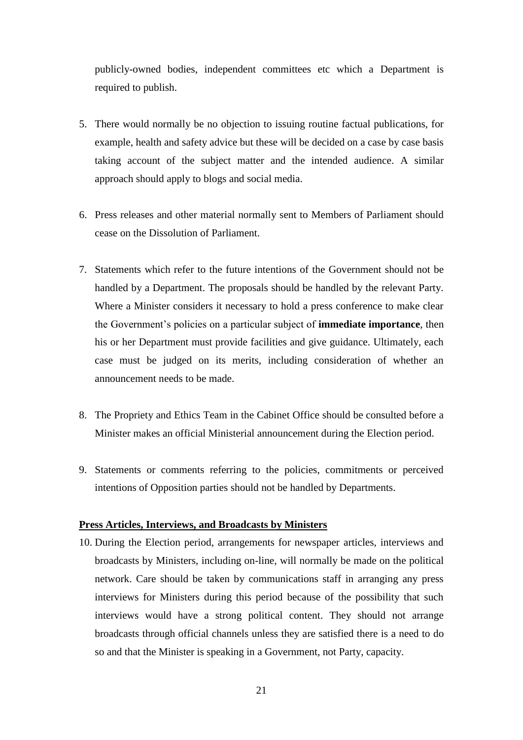publicly-owned bodies, independent committees etc which a Department is required to publish.

- 5. There would normally be no objection to issuing routine factual publications, for example, health and safety advice but these will be decided on a case by case basis taking account of the subject matter and the intended audience. A similar approach should apply to blogs and social media.
- 6. Press releases and other material normally sent to Members of Parliament should cease on the Dissolution of Parliament.
- 7. Statements which refer to the future intentions of the Government should not be handled by a Department. The proposals should be handled by the relevant Party. Where a Minister considers it necessary to hold a press conference to make clear the Government's policies on a particular subject of **immediate importance**, then his or her Department must provide facilities and give guidance. Ultimately, each case must be judged on its merits, including consideration of whether an announcement needs to be made.
- 8. The Propriety and Ethics Team in the Cabinet Office should be consulted before a Minister makes an official Ministerial announcement during the Election period.
- 9. Statements or comments referring to the policies, commitments or perceived intentions of Opposition parties should not be handled by Departments.

#### **Press Articles, Interviews, and Broadcasts by Ministers**

10. During the Election period, arrangements for newspaper articles, interviews and broadcasts by Ministers, including on-line, will normally be made on the political network. Care should be taken by communications staff in arranging any press interviews for Ministers during this period because of the possibility that such interviews would have a strong political content. They should not arrange broadcasts through official channels unless they are satisfied there is a need to do so and that the Minister is speaking in a Government, not Party, capacity.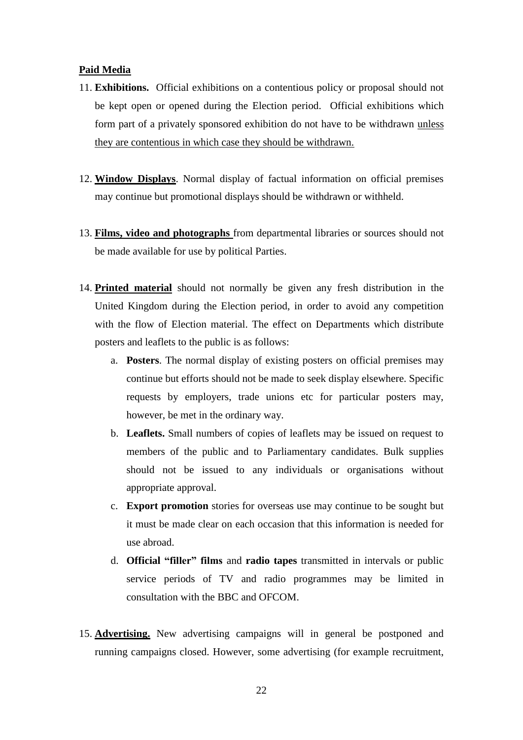#### **Paid Media**

- 11. **Exhibitions.** Official exhibitions on a contentious policy or proposal should not be kept open or opened during the Election period. Official exhibitions which form part of a privately sponsored exhibition do not have to be withdrawn unless they are contentious in which case they should be withdrawn.
- 12. **Window Displays**. Normal display of factual information on official premises may continue but promotional displays should be withdrawn or withheld.
- 13. **Films, video and photographs** from departmental libraries or sources should not be made available for use by political Parties.
- 14. **Printed material** should not normally be given any fresh distribution in the United Kingdom during the Election period, in order to avoid any competition with the flow of Election material. The effect on Departments which distribute posters and leaflets to the public is as follows:
	- a. **Posters**. The normal display of existing posters on official premises may continue but efforts should not be made to seek display elsewhere. Specific requests by employers, trade unions etc for particular posters may, however, be met in the ordinary way.
	- b. **Leaflets.** Small numbers of copies of leaflets may be issued on request to members of the public and to Parliamentary candidates. Bulk supplies should not be issued to any individuals or organisations without appropriate approval.
	- c. **Export promotion** stories for overseas use may continue to be sought but it must be made clear on each occasion that this information is needed for use abroad.
	- d. **Official "filler" films** and **radio tapes** transmitted in intervals or public service periods of TV and radio programmes may be limited in consultation with the BBC and OFCOM.
- 15. **Advertising.** New advertising campaigns will in general be postponed and running campaigns closed. However, some advertising (for example recruitment,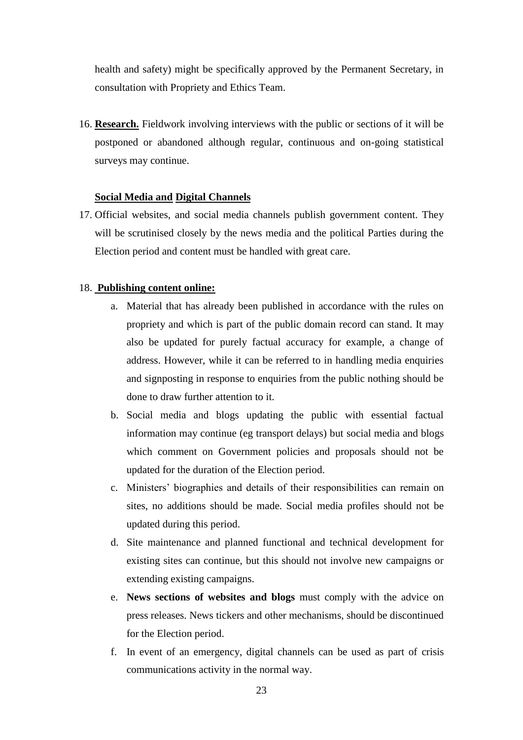health and safety) might be specifically approved by the Permanent Secretary, in consultation with Propriety and Ethics Team.

16. **Research.** Fieldwork involving interviews with the public or sections of it will be postponed or abandoned although regular, continuous and on-going statistical surveys may continue.

#### **Social Media and Digital Channels**

17. Official websites, and social media channels publish government content. They will be scrutinised closely by the news media and the political Parties during the Election period and content must be handled with great care.

#### 18. **Publishing content online:**

- a. Material that has already been published in accordance with the rules on propriety and which is part of the public domain record can stand. It may also be updated for purely factual accuracy for example, a change of address. However, while it can be referred to in handling media enquiries and signposting in response to enquiries from the public nothing should be done to draw further attention to it.
- b. Social media and blogs updating the public with essential factual information may continue (eg transport delays) but social media and blogs which comment on Government policies and proposals should not be updated for the duration of the Election period.
- c. Ministers' biographies and details of their responsibilities can remain on sites, no additions should be made. Social media profiles should not be updated during this period.
- d. Site maintenance and planned functional and technical development for existing sites can continue, but this should not involve new campaigns or extending existing campaigns.
- e. **News sections of websites and blogs** must comply with the advice on press releases. News tickers and other mechanisms, should be discontinued for the Election period.
- f. In event of an emergency, digital channels can be used as part of crisis communications activity in the normal way.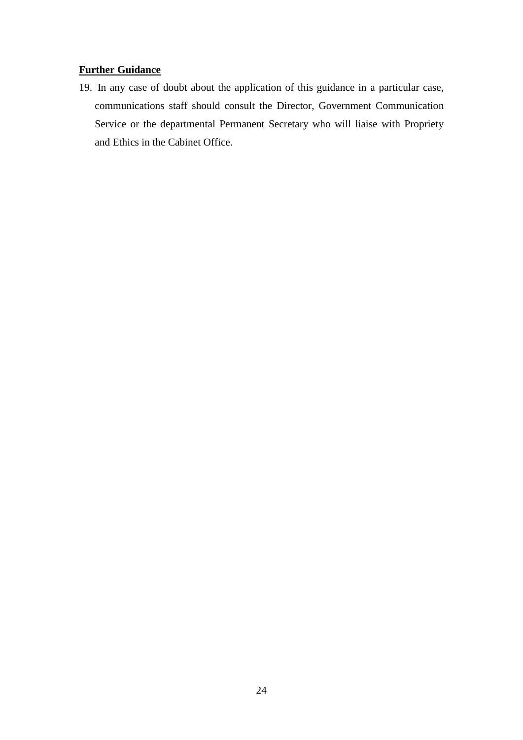#### **Further Guidance**

<span id="page-23-0"></span>19. In any case of doubt about the application of this guidance in a particular case, communications staff should consult the Director, Government Communication Service or the departmental Permanent Secretary who will liaise with Propriety and Ethics in the Cabinet Office.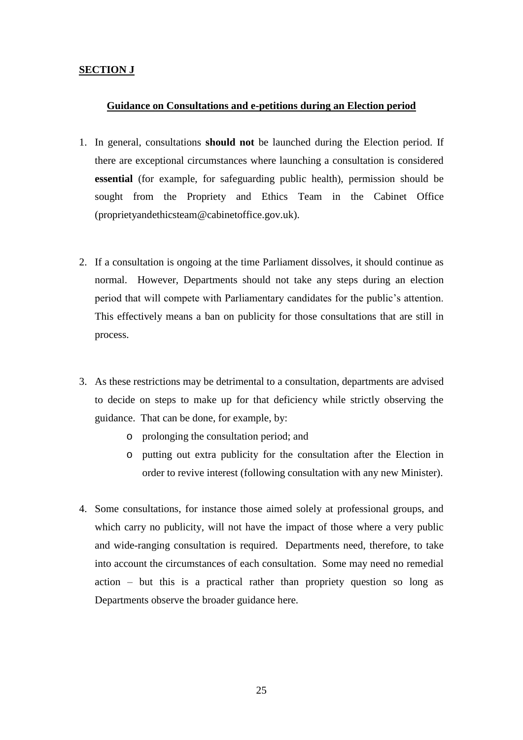#### **SECTION J**

#### **Guidance on Consultations and e-petitions during an Election period**

- 1. In general, consultations **should not** be launched during the Election period. If there are exceptional circumstances where launching a consultation is considered **essential** (for example, for safeguarding public health), permission should be sought from the Propriety and Ethics Team in the Cabinet Office (proprietyandethicstea[m@cabinetoffice.gov.uk\)](mailto:electionqueries@cabinet-office.x.gsi.gov.uk).
- 2. If a consultation is ongoing at the time Parliament dissolves, it should continue as normal. However, Departments should not take any steps during an election period that will compete with Parliamentary candidates for the public's attention. This effectively means a ban on publicity for those consultations that are still in process.
- 3. As these restrictions may be detrimental to a consultation, departments are advised to decide on steps to make up for that deficiency while strictly observing the guidance. That can be done, for example, by:
	- o prolonging the consultation period; and
	- o putting out extra publicity for the consultation after the Election in order to revive interest (following consultation with any new Minister).
- 4. Some consultations, for instance those aimed solely at professional groups, and which carry no publicity, will not have the impact of those where a very public and wide-ranging consultation is required. Departments need, therefore, to take into account the circumstances of each consultation. Some may need no remedial action – but this is a practical rather than propriety question so long as Departments observe the broader guidance here.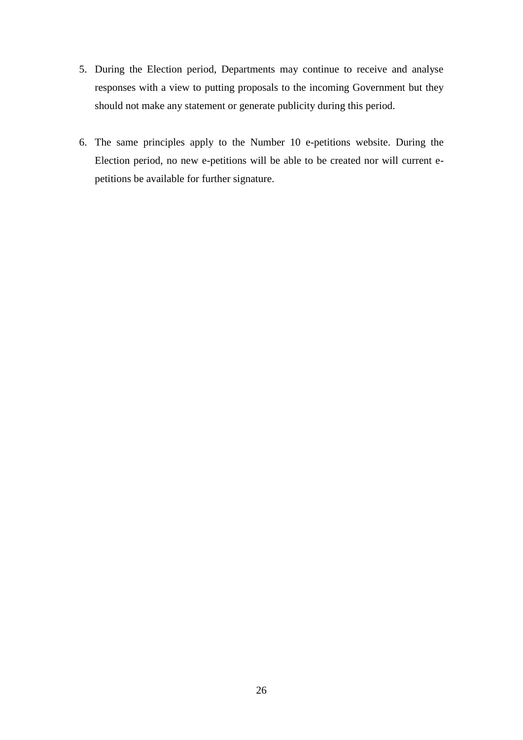- 5. During the Election period, Departments may continue to receive and analyse responses with a view to putting proposals to the incoming Government but they should not make any statement or generate publicity during this period.
- 6. The same principles apply to the Number 10 e-petitions website. During the Election period, no new e-petitions will be able to be created nor will current epetitions be available for further signature.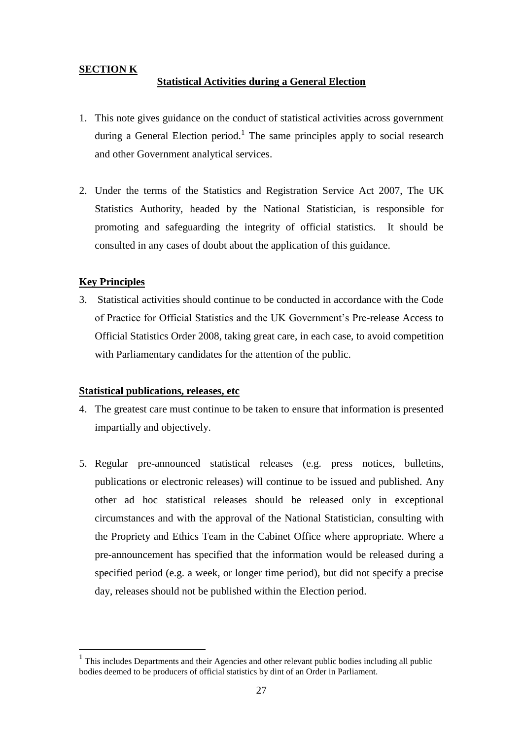#### <span id="page-26-0"></span>**SECTION K**

#### **Statistical Activities during a General Election**

- 1. This note gives guidance on the conduct of statistical activities across government during a General Election period.<sup>1</sup> The same principles apply to social research and other Government analytical services.
- 2. Under the terms of the Statistics and Registration Service Act 2007, The UK Statistics Authority, headed by the National Statistician, is responsible for promoting and safeguarding the integrity of official statistics. It should be consulted in any cases of doubt about the application of this guidance.

#### **Key Principles**

1

3. Statistical activities should continue to be conducted in accordance with the Code of Practice for Official Statistics and the UK Government's Pre-release Access to Official Statistics Order 2008, taking great care, in each case, to avoid competition with Parliamentary candidates for the attention of the public.

#### **Statistical publications, releases, etc**

- 4. The greatest care must continue to be taken to ensure that information is presented impartially and objectively.
- 5. Regular pre-announced statistical releases (e.g. press notices, bulletins, publications or electronic releases) will continue to be issued and published. Any other ad hoc statistical releases should be released only in exceptional circumstances and with the approval of the National Statistician, consulting with the Propriety and Ethics Team in the Cabinet Office where appropriate. Where a pre-announcement has specified that the information would be released during a specified period (e.g. a week, or longer time period), but did not specify a precise day, releases should not be published within the Election period.

<sup>&</sup>lt;sup>1</sup> This includes Departments and their Agencies and other relevant public bodies including all public bodies deemed to be producers of official statistics by dint of an Order in Parliament.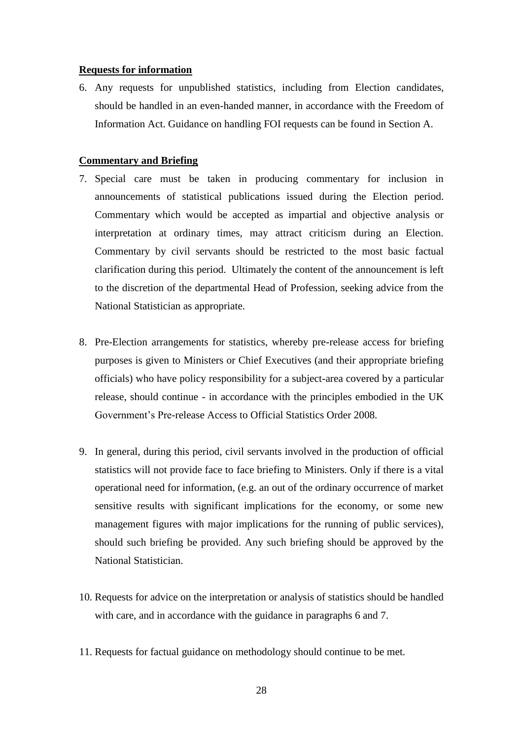#### **Requests for information**

6. Any requests for unpublished statistics, including from Election candidates, should be handled in an even-handed manner, in accordance with the Freedom of Information Act. Guidance on handling FOI requests can be found in Section A.

#### **Commentary and Briefing**

- 7. Special care must be taken in producing commentary for inclusion in announcements of statistical publications issued during the Election period. Commentary which would be accepted as impartial and objective analysis or interpretation at ordinary times, may attract criticism during an Election. Commentary by civil servants should be restricted to the most basic factual clarification during this period. Ultimately the content of the announcement is left to the discretion of the departmental Head of Profession, seeking advice from the National Statistician as appropriate.
- 8. Pre-Election arrangements for statistics, whereby pre-release access for briefing purposes is given to Ministers or Chief Executives (and their appropriate briefing officials) who have policy responsibility for a subject-area covered by a particular release, should continue - in accordance with the principles embodied in the UK Government's Pre-release Access to Official Statistics Order 2008*.*
- 9. In general, during this period, civil servants involved in the production of official statistics will not provide face to face briefing to Ministers. Only if there is a vital operational need for information, (e.g. an out of the ordinary occurrence of market sensitive results with significant implications for the economy, or some new management figures with major implications for the running of public services), should such briefing be provided. Any such briefing should be approved by the National Statistician.
- 10. Requests for advice on the interpretation or analysis of statistics should be handled with care, and in accordance with the guidance in paragraphs 6 and 7.
- 11. Requests for factual guidance on methodology should continue to be met.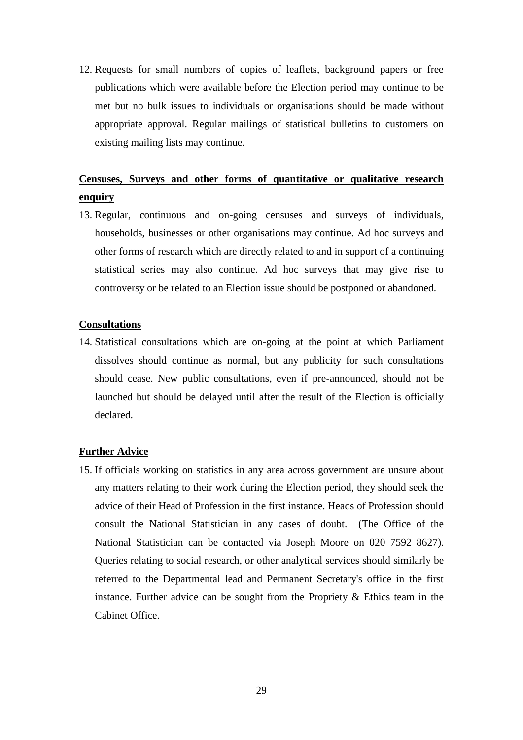12. Requests for small numbers of copies of leaflets, background papers or free publications which were available before the Election period may continue to be met but no bulk issues to individuals or organisations should be made without appropriate approval. Regular mailings of statistical bulletins to customers on existing mailing lists may continue.

### **Censuses, Surveys and other forms of quantitative or qualitative research enquiry**

13. Regular, continuous and on-going censuses and surveys of individuals, households, businesses or other organisations may continue. Ad hoc surveys and other forms of research which are directly related to and in support of a continuing statistical series may also continue. Ad hoc surveys that may give rise to controversy or be related to an Election issue should be postponed or abandoned.

#### **Consultations**

14. Statistical consultations which are on-going at the point at which Parliament dissolves should continue as normal, but any publicity for such consultations should cease. New public consultations, even if pre-announced, should not be launched but should be delayed until after the result of the Election is officially declared.

#### **Further Advice**

15. If officials working on statistics in any area across government are unsure about any matters relating to their work during the Election period, they should seek the advice of their Head of Profession in the first instance. Heads of Profession should consult the National Statistician in any cases of doubt. (The Office of the National Statistician can be contacted via Joseph Moore on 020 7592 8627). Queries relating to social research, or other analytical services should similarly be referred to the Departmental lead and Permanent Secretary's office in the first instance. Further advice can be sought from the Propriety  $\&$  Ethics team in the Cabinet Office.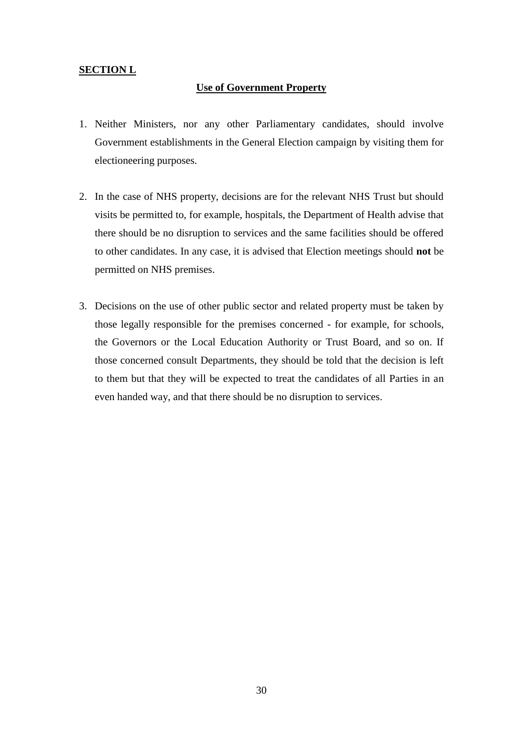#### <span id="page-29-0"></span>**SECTION L**

#### **Use of Government Property**

- 1. Neither Ministers, nor any other Parliamentary candidates, should involve Government establishments in the General Election campaign by visiting them for electioneering purposes.
- 2. In the case of NHS property, decisions are for the relevant NHS Trust but should visits be permitted to, for example, hospitals, the Department of Health advise that there should be no disruption to services and the same facilities should be offered to other candidates. In any case, it is advised that Election meetings should **not** be permitted on NHS premises.
- 3. Decisions on the use of other public sector and related property must be taken by those legally responsible for the premises concerned - for example, for schools, the Governors or the Local Education Authority or Trust Board, and so on. If those concerned consult Departments, they should be told that the decision is left to them but that they will be expected to treat the candidates of all Parties in an even handed way, and that there should be no disruption to services.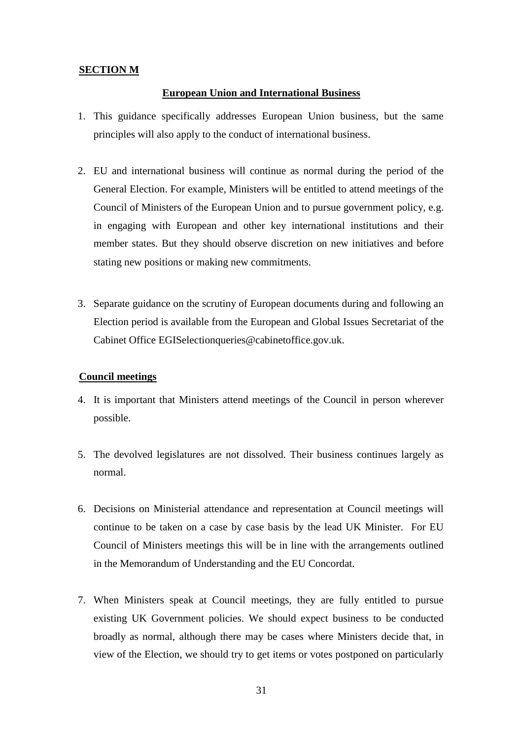#### <span id="page-30-0"></span>**SECTION M**

#### **European Union and International Business**

- 1. This guidance specifically addresses European Union business, but the same principles will also apply to the conduct of international business.
- 2. EU and international business will continue as normal during the period of the General Election. For example, Ministers will be entitled to attend meetings of the Council of Ministers of the European Union and to pursue government policy, e.g. in engaging with European and other key international institutions and their member states. But they should observe discretion on new initiatives and before stating new positions or making new commitments.
- 3. Separate guidance on the scrutiny of European documents during and following an Election period is available from the European and Global Issues Secretariat of the Cabinet Office EGISelectionqueries@cabinetoffice.gov.uk.

#### **Council meetings**

- 4. It is important that Ministers attend meetings of the Council in person wherever possible.
- 5. The devolved legislatures are not dissolved. Their business continues largely as normal.
- 6. Decisions on Ministerial attendance and representation at Council meetings will continue to be taken on a case by case basis by the lead UK Minister. For EU Council of Ministers meetings this will be in line with the arrangements outlined in the Memorandum of Understanding and the EU Concordat.
- 7. When Ministers speak at Council meetings, they are fully entitled to pursue existing UK Government policies. We should expect business to be conducted broadly as normal, although there may be cases where Ministers decide that, in view of the Election, we should try to get items or votes postponed on particularly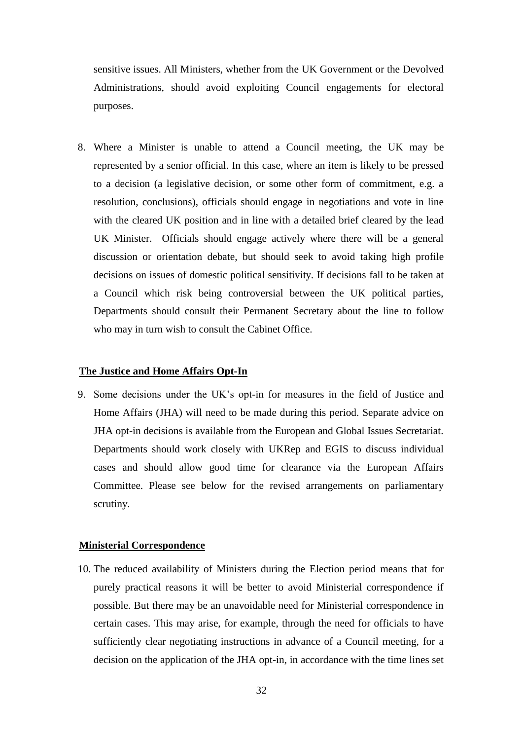sensitive issues. All Ministers, whether from the UK Government or the Devolved Administrations, should avoid exploiting Council engagements for electoral purposes.

8. Where a Minister is unable to attend a Council meeting, the UK may be represented by a senior official. In this case, where an item is likely to be pressed to a decision (a legislative decision, or some other form of commitment, e.g. a resolution, conclusions), officials should engage in negotiations and vote in line with the cleared UK position and in line with a detailed brief cleared by the lead UK Minister. Officials should engage actively where there will be a general discussion or orientation debate, but should seek to avoid taking high profile decisions on issues of domestic political sensitivity. If decisions fall to be taken at a Council which risk being controversial between the UK political parties, Departments should consult their Permanent Secretary about the line to follow who may in turn wish to consult the Cabinet Office.

#### **The Justice and Home Affairs Opt-In**

9. Some decisions under the UK's opt-in for measures in the field of Justice and Home Affairs (JHA) will need to be made during this period. Separate advice on JHA opt-in decisions is available from the European and Global Issues Secretariat. Departments should work closely with UKRep and EGIS to discuss individual cases and should allow good time for clearance via the European Affairs Committee. Please see below for the revised arrangements on parliamentary scrutiny.

#### **Ministerial Correspondence**

10. The reduced availability of Ministers during the Election period means that for purely practical reasons it will be better to avoid Ministerial correspondence if possible. But there may be an unavoidable need for Ministerial correspondence in certain cases. This may arise, for example, through the need for officials to have sufficiently clear negotiating instructions in advance of a Council meeting, for a decision on the application of the JHA opt-in, in accordance with the time lines set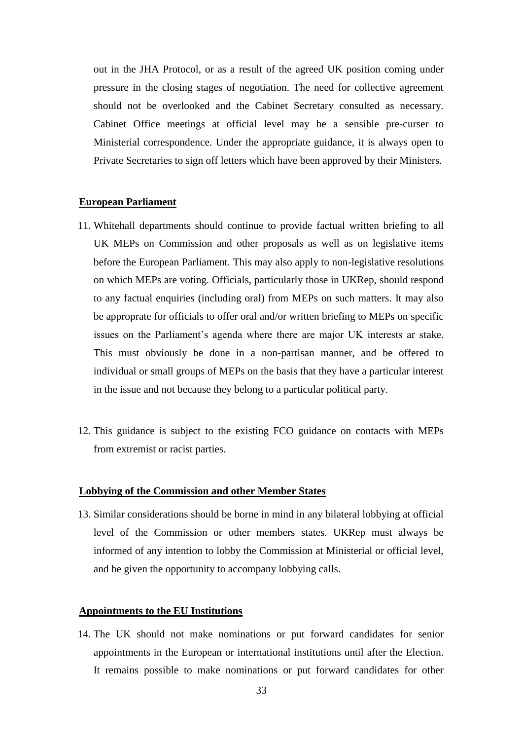out in the JHA Protocol, or as a result of the agreed UK position coming under pressure in the closing stages of negotiation. The need for collective agreement should not be overlooked and the Cabinet Secretary consulted as necessary. Cabinet Office meetings at official level may be a sensible pre-curser to Ministerial correspondence. Under the appropriate guidance, it is always open to Private Secretaries to sign off letters which have been approved by their Ministers.

#### **European Parliament**

- 11. Whitehall departments should continue to provide factual written briefing to all UK MEPs on Commission and other proposals as well as on legislative items before the European Parliament. This may also apply to non-legislative resolutions on which MEPs are voting. Officials, particularly those in UKRep, should respond to any factual enquiries (including oral) from MEPs on such matters. It may also be approprate for officials to offer oral and/or written briefing to MEPs on specific issues on the Parliament's agenda where there are major UK interests ar stake. This must obviously be done in a non-partisan manner, and be offered to individual or small groups of MEPs on the basis that they have a particular interest in the issue and not because they belong to a particular political party.
- 12. This guidance is subject to the existing FCO guidance on contacts with MEPs from extremist or racist parties.

#### **Lobbying of the Commission and other Member States**

13. Similar considerations should be borne in mind in any bilateral lobbying at official level of the Commission or other members states. UKRep must always be informed of any intention to lobby the Commission at Ministerial or official level, and be given the opportunity to accompany lobbying calls.

#### **Appointments to the EU Institutions**

14. The UK should not make nominations or put forward candidates for senior appointments in the European or international institutions until after the Election. It remains possible to make nominations or put forward candidates for other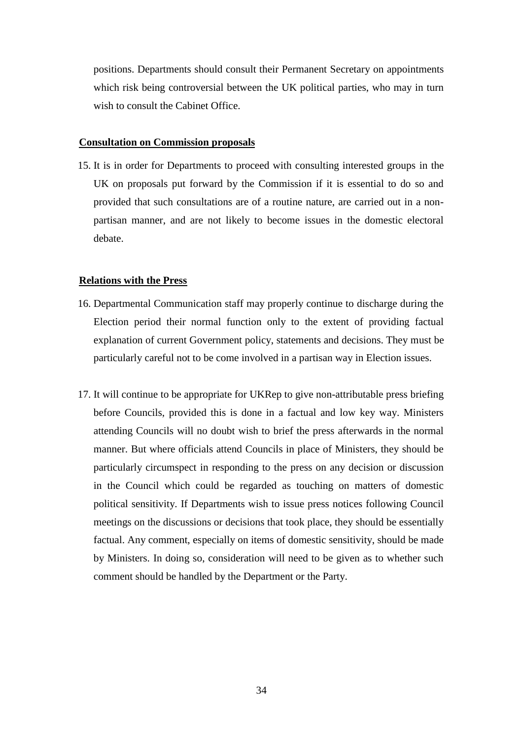positions. Departments should consult their Permanent Secretary on appointments which risk being controversial between the UK political parties, who may in turn wish to consult the Cabinet Office.

#### **Consultation on Commission proposals**

15. It is in order for Departments to proceed with consulting interested groups in the UK on proposals put forward by the Commission if it is essential to do so and provided that such consultations are of a routine nature, are carried out in a nonpartisan manner, and are not likely to become issues in the domestic electoral debate.

#### **Relations with the Press**

- 16. Departmental Communication staff may properly continue to discharge during the Election period their normal function only to the extent of providing factual explanation of current Government policy, statements and decisions. They must be particularly careful not to be come involved in a partisan way in Election issues.
- 17. It will continue to be appropriate for UKRep to give non-attributable press briefing before Councils, provided this is done in a factual and low key way. Ministers attending Councils will no doubt wish to brief the press afterwards in the normal manner. But where officials attend Councils in place of Ministers, they should be particularly circumspect in responding to the press on any decision or discussion in the Council which could be regarded as touching on matters of domestic political sensitivity. If Departments wish to issue press notices following Council meetings on the discussions or decisions that took place, they should be essentially factual. Any comment, especially on items of domestic sensitivity, should be made by Ministers. In doing so, consideration will need to be given as to whether such comment should be handled by the Department or the Party.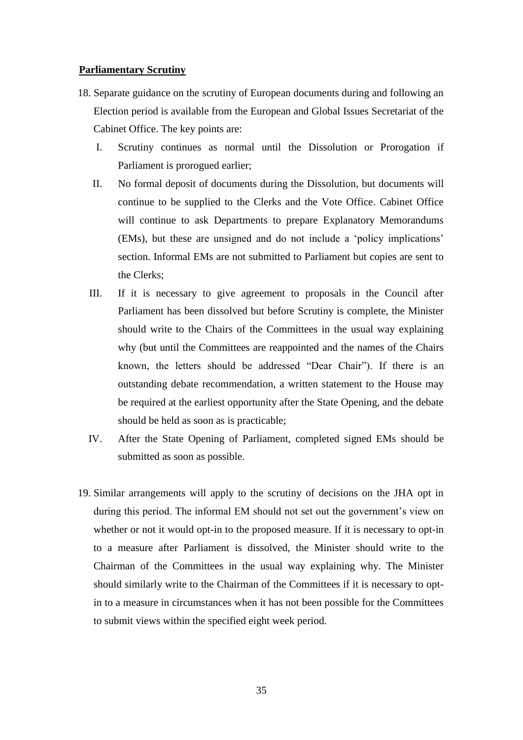#### **Parliamentary Scrutiny**

- 18. Separate guidance on the scrutiny of European documents during and following an Election period is available from the European and Global Issues Secretariat of the Cabinet Office. The key points are:
	- I. Scrutiny continues as normal until the Dissolution or Prorogation if Parliament is prorogued earlier;
	- II. No formal deposit of documents during the Dissolution, but documents will continue to be supplied to the Clerks and the Vote Office. Cabinet Office will continue to ask Departments to prepare Explanatory Memorandums (EMs), but these are unsigned and do not include a 'policy implications' section. Informal EMs are not submitted to Parliament but copies are sent to the Clerks;
	- III. If it is necessary to give agreement to proposals in the Council after Parliament has been dissolved but before Scrutiny is complete, the Minister should write to the Chairs of the Committees in the usual way explaining why (but until the Committees are reappointed and the names of the Chairs known, the letters should be addressed "Dear Chair"). If there is an outstanding debate recommendation, a written statement to the House may be required at the earliest opportunity after the State Opening, and the debate should be held as soon as is practicable;
	- IV. After the State Opening of Parliament, completed signed EMs should be submitted as soon as possible.
- 19. Similar arrangements will apply to the scrutiny of decisions on the JHA opt in during this period. The informal EM should not set out the government's view on whether or not it would opt-in to the proposed measure. If it is necessary to opt-in to a measure after Parliament is dissolved, the Minister should write to the Chairman of the Committees in the usual way explaining why. The Minister should similarly write to the Chairman of the Committees if it is necessary to optin to a measure in circumstances when it has not been possible for the Committees to submit views within the specified eight week period.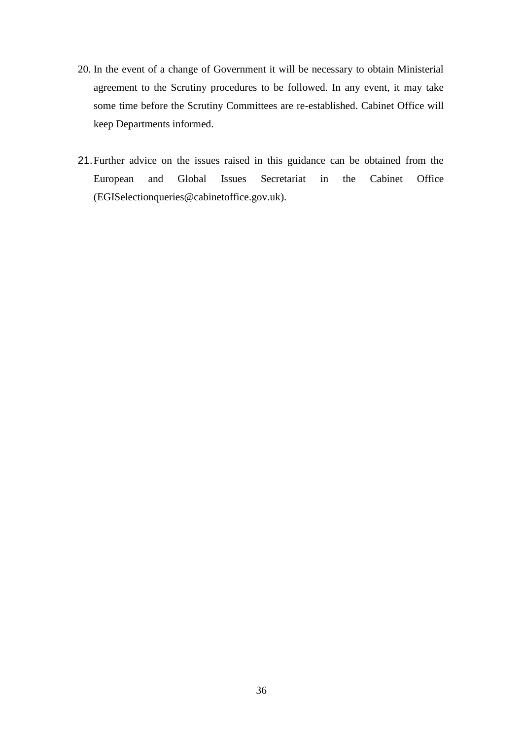- 20. In the event of a change of Government it will be necessary to obtain Ministerial agreement to the Scrutiny procedures to be followed. In any event, it may take some time before the Scrutiny Committees are re-established. Cabinet Office will keep Departments informed.
- 21.Further advice on the issues raised in this guidance can be obtained from the European and Global Issues Secretariat in the Cabinet Office (EGISelectionqueries@cabinetoffice.gov.uk).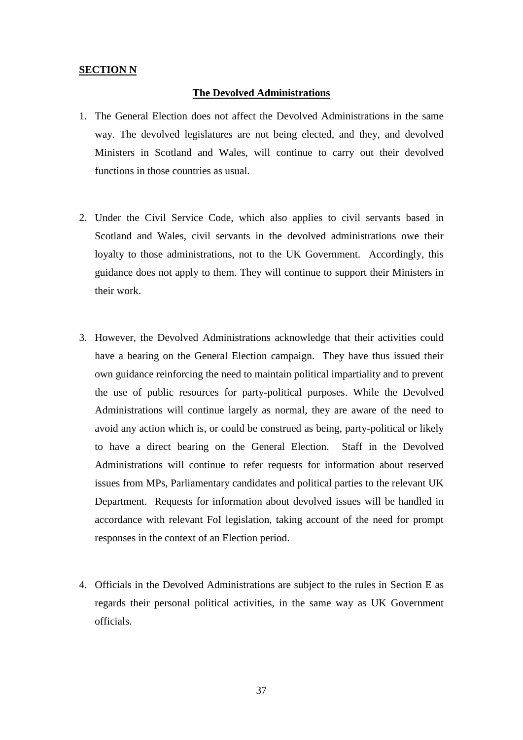#### **SECTION N**

#### **The Devolved Administrations**

- 1. The General Election does not affect the Devolved Administrations in the same way. The devolved legislatures are not being elected, and they, and devolved Ministers in Scotland and Wales, will continue to carry out their devolved functions in those countries as usual.
- 2. Under the Civil Service Code, which also applies to civil servants based in Scotland and Wales, civil servants in the devolved administrations owe their loyalty to those administrations, not to the UK Government. Accordingly, this guidance does not apply to them. They will continue to support their Ministers in their work.
- 3. However, the Devolved Administrations acknowledge that their activities could have a bearing on the General Election campaign. They have thus issued their own guidance reinforcing the need to maintain political impartiality and to prevent the use of public resources for party-political purposes. While the Devolved Administrations will continue largely as normal, they are aware of the need to avoid any action which is, or could be construed as being, party-political or likely to have a direct bearing on the General Election. Staff in the Devolved Administrations will continue to refer requests for information about reserved issues from MPs, Parliamentary candidates and political parties to the relevant UK Department. Requests for information about devolved issues will be handled in accordance with relevant FoI legislation, taking account of the need for prompt responses in the context of an Election period.
- 4. Officials in the Devolved Administrations are subject to the rules in Section E as regards their personal political activities, in the same way as UK Government officials.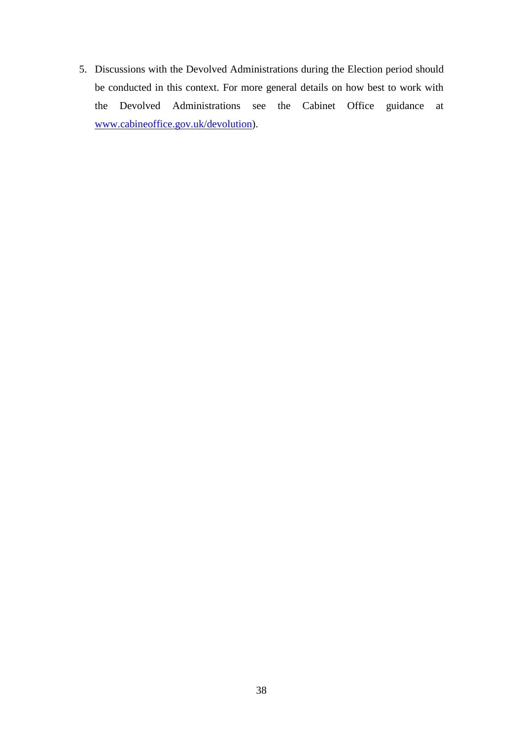5. Discussions with the Devolved Administrations during the Election period should be conducted in this context. For more general details on how best to work with the Devolved Administrations see the Cabinet Office guidance at [www.cabineoffice.gov.uk/devolution\)](http://www.cabineoffice.gov.uk/devolution).